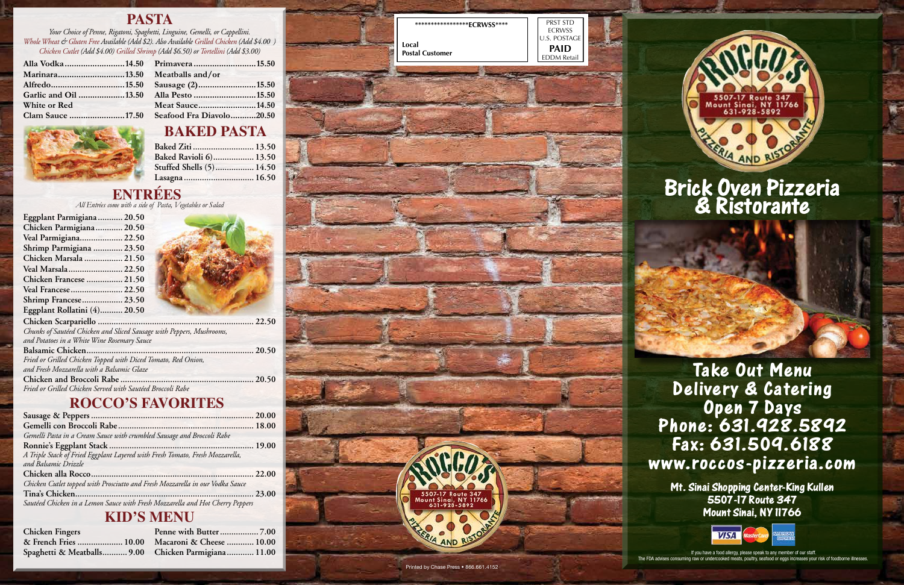If you have a food allergy, please speak to any member of our staff. The FDA advises consuming raw or undercooked meats, poultry, seafood or eggs increases your risk of foodborne illnesses.

# **Take Out Menu**<br>**Iivery & Cateri Delivery & Catering Open 7 Days** Fax: 631.509.6188 rax: 031.304.0188<br>W.roccos-dizzeria.c **www.roccos-pizzeria.com**

# **Brick Oven Pizzeria & Ristorante**

**Mt. Sinai Shopping Center-King Kullen 5507-17 Route 347 Mount Sinai, NY 11766**



#### **PASTA**

## **BAKED PASTA**

#### **ENTRÉES**

### **ROCCO'S FAVORITES**

#### **KID'S MENU**

*Your Choice of Penne, Rigatoni, Spaghetti, Linguine, Gemelli, or Cappellini. Whole Wheat & Gluten Free Available (Add \$2). Also Available Grilled Chicken (Add \$4.00 ) Chicken Cutlet (Add \$4.00) Grilled Shrimp (Add \$6.50) or Tortellini (Add \$3.00)*

*All Entrées come with a side of Pasta, Vegetables or Salad*

| Garlic and Oil 13.50 Alla Pesto 15.50     |                 |  |
|-------------------------------------------|-----------------|--|
| White or Red                              | Meat Sauce14.50 |  |
| Clam Sauce 17.50 Seafood Fra Diavolo20.50 |                 |  |

| Baked Ziti  13.50        |  |
|--------------------------|--|
| Baked Ravioli 6) 13.50   |  |
| Stuffed Shells (5) 14.50 |  |
| Lasagna  16.50           |  |

| Eggplant Parmigiana 20.50    |  |
|------------------------------|--|
| Chicken Parmigiana 20.50     |  |
| Veal Parmigiana 22.50        |  |
| Shrimp Parmigiana  23.50     |  |
| Chicken Marsala  21.50       |  |
| Veal Marsala 22.50           |  |
| Chicken Francese  21.50      |  |
| Veal Francese  22.50         |  |
| Shrimp Francese 23.50        |  |
| Eggplant Rollatini (4) 20.50 |  |
| ________                     |  |







| Chunks of Sautéed Chicken and Sliced Sausage with Peppers, Mushrooms, |  |
|-----------------------------------------------------------------------|--|
| and Potatoes in a White Wine Rosemary Sauce                           |  |
|                                                                       |  |
| Fried or Grilled Chicken Topped with Diced Tomato, Red Onion,         |  |
| and Fresh Mozzarella with a Balsamic Glaze                            |  |
|                                                                       |  |
| Fried or Grilled Chicken Served with Sautéed Broccoli Rabe            |  |

| Gemelli Pasta in a Cream Sauce with crumbled Sausage and Broccoli Rabe        |  |
|-------------------------------------------------------------------------------|--|
|                                                                               |  |
| A Triple Stack of Fried Eggplant Layered with Fresh Tomato, Fresh Mozzarella, |  |
| and Balsamic Drizzle                                                          |  |
|                                                                               |  |
| Chicken Cutlet topped with Prosciutto and Fresh Mozzarella in our Vodka Sauce |  |
|                                                                               |  |
| Sautéed Chicken in a Lemon Sauce with Fresh Mozzarella and Hot Cherry Peppers |  |
|                                                                               |  |

| <b>Chicken Fingers</b>                              |  |
|-----------------------------------------------------|--|
| & French Fries  10.00 Macaroni & Cheese  10.00      |  |
| Spaghetti & Meatballs 9.00 Chicken Parmigiana 11.00 |  |